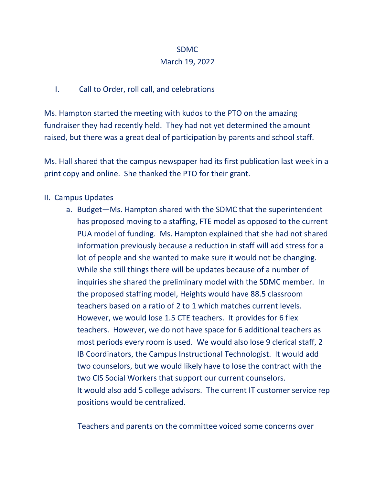## SDMC

## March 19, 2022

# I. Call to Order, roll call, and celebrations

Ms. Hampton started the meeting with kudos to the PTO on the amazing fundraiser they had recently held. They had not yet determined the amount raised, but there was a great deal of participation by parents and school staff.

Ms. Hall shared that the campus newspaper had its first publication last week in a print copy and online. She thanked the PTO for their grant.

# II. Campus Updates

a. Budget—Ms. Hampton shared with the SDMC that the superintendent has proposed moving to a staffing, FTE model as opposed to the current PUA model of funding. Ms. Hampton explained that she had not shared information previously because a reduction in staff will add stress for a lot of people and she wanted to make sure it would not be changing. While she still things there will be updates because of a number of inquiries she shared the preliminary model with the SDMC member. In the proposed staffing model, Heights would have 88.5 classroom teachers based on a ratio of 2 to 1 which matches current levels. However, we would lose 1.5 CTE teachers. It provides for 6 flex teachers. However, we do not have space for 6 additional teachers as most periods every room is used. We would also lose 9 clerical staff, 2 IB Coordinators, the Campus Instructional Technologist. It would add two counselors, but we would likely have to lose the contract with the two CIS Social Workers that support our current counselors. It would also add 5 college advisors. The current IT customer service rep positions would be centralized.

Teachers and parents on the committee voiced some concerns over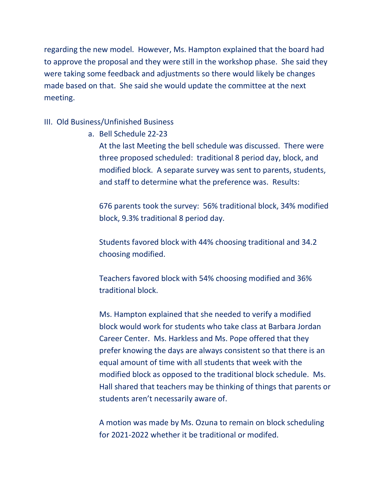regarding the new model. However, Ms. Hampton explained that the board had to approve the proposal and they were still in the workshop phase. She said they were taking some feedback and adjustments so there would likely be changes made based on that. She said she would update the committee at the next meeting.

### III. Old Business/Unfinished Business

a. Bell Schedule 22-23

At the last Meeting the bell schedule was discussed. There were three proposed scheduled: traditional 8 period day, block, and modified block. A separate survey was sent to parents, students, and staff to determine what the preference was. Results:

676 parents took the survey: 56% traditional block, 34% modified block, 9.3% traditional 8 period day.

Students favored block with 44% choosing traditional and 34.2 choosing modified.

Teachers favored block with 54% choosing modified and 36% traditional block.

Ms. Hampton explained that she needed to verify a modified block would work for students who take class at Barbara Jordan Career Center. Ms. Harkless and Ms. Pope offered that they prefer knowing the days are always consistent so that there is an equal amount of time with all students that week with the modified block as opposed to the traditional block schedule. Ms. Hall shared that teachers may be thinking of things that parents or students aren't necessarily aware of.

A motion was made by Ms. Ozuna to remain on block scheduling for 2021-2022 whether it be traditional or modifed.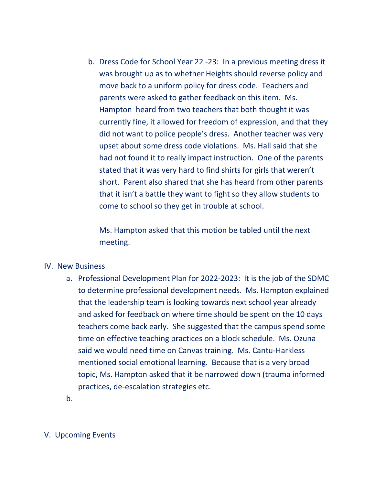b. Dress Code for School Year 22 -23: In a previous meeting dress it was brought up as to whether Heights should reverse policy and move back to a uniform policy for dress code. Teachers and parents were asked to gather feedback on this item. Ms. Hampton heard from two teachers that both thought it was currently fine, it allowed for freedom of expression, and that they did not want to police people's dress. Another teacher was very upset about some dress code violations. Ms. Hall said that she had not found it to really impact instruction. One of the parents stated that it was very hard to find shirts for girls that weren't short. Parent also shared that she has heard from other parents that it isn't a battle they want to fight so they allow students to come to school so they get in trouble at school.

Ms. Hampton asked that this motion be tabled until the next meeting.

#### IV. New Business

- a. Professional Development Plan for 2022-2023: It is the job of the SDMC to determine professional development needs. Ms. Hampton explained that the leadership team is looking towards next school year already and asked for feedback on where time should be spent on the 10 days teachers come back early. She suggested that the campus spend some time on effective teaching practices on a block schedule. Ms. Ozuna said we would need time on Canvas training. Ms. Cantu-Harkless mentioned social emotional learning. Because that is a very broad topic, Ms. Hampton asked that it be narrowed down (trauma informed practices, de-escalation strategies etc.
- b.

### V. Upcoming Events